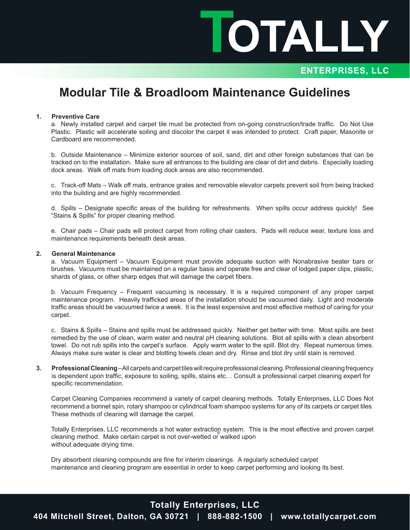IOTALLY

### **ENTERPRISES, LLC**

## **Modular Tile & Broadloom Maintenance Guidelines**

#### **1. Preventive Care**

a. Newly installed carpet and carpet tile must be protected from on-going construction/trade traffic. Do Not Use Plastic. Plastic will accelerate soiling and discolor the carpet it was intended to protect. Craft paper, Masonite or Cardboard are recommended.

b. Outside Maintenance – Minimize exterior sources of soil, sand, dirt and other foreign substances that can be tracked on to the installation. Make sure all entrances to the building are clear of dirt and debris. Especially loading dock areas. Walk off mats from loading dock areas are also recommended.

c. Track-off Mats – Walk off mats, entrance grates and removable elevator carpets prevent soil from being tracked into the building and are highly recommended.

d. Spills - Designate specific areas of the building for refreshments. When spills occur address quickly! See "Stains & Spills" for proper cleaning method.

e. Chair pads – Chair pads will protect carpet from rolling chair casters. Pads will reduce wear, texture loss and maintenance requirements beneath desk areas.

#### **2. General Maintenance**

a. Vacuum Equipment – Vacuum Equipment must provide adequate suction with Nonabrasive beater bars or brushes. Vacuums must be maintained on a regular basis and operate free and clear of lodged paper clips, plastic, shards of glass, or other sharp edges that will damage the carpet fibers.

b. Vacuum Frequency – Frequent vacuuming is necessary. It is a required component of any proper carpet maintenance program. Heavily trafficked areas of the installation should be vacuumed daily. Light and moderate traffic areas should be vacuumed twice a week. It is the least expensive and most effective method of caring for your carpet.

c. Stains & Spills – Stains and spills must be addressed quickly. Neither get better with time. Most spills are best remedied by the use of clean, warm water and neutral pH cleaning solutions. Blot all spills with a clean absorbent towel. Do not rub spills into the carpet's surface. Apply warm water to the spill. Blot dry. Repeat numerous times. Always make sure water is clear and blotting towels clean and dry. Rinse and blot dry until stain is removed.

**3. Professional Cleaning** – All carpets and carpet tiles will require professional cleaning. Professional cleaning frequency is dependent upon traffic, exposure to soiling, spills, stains etc... Consult a professional carpet cleaning expert for specific recommendation.

Carpet Cleaning Companies recommend a variety of carpet cleaning methods. Totally Enterprises, LLC Does Not recommend a bonnet spin, rotary shampoo or cylindrical foam shampoo systems for any of its carpets or carpet tiles. These methods of cleaning will damage the carpet.

Totally Enterprises, LLC recommends a hot water extraction system. This is the most effective and proven carpet cleaning method. Make certain carpet is not over-wetted or walked upon without adequate drying time.